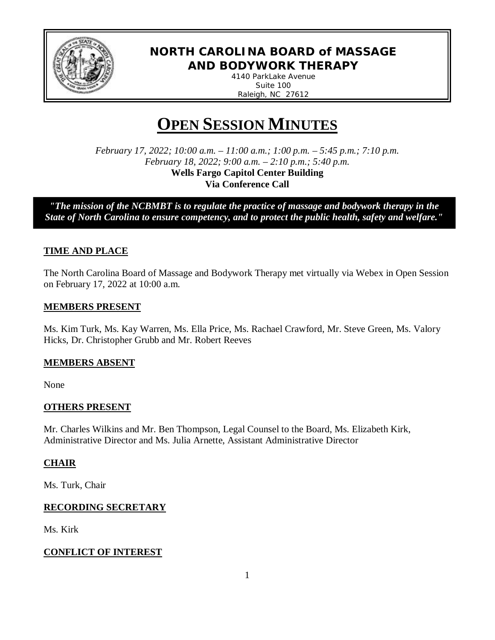

# **NORTH CAROLINA BOARD of MASSAGE AND BODYWORK THERAPY**

*4140 ParkLake Avenue Suite 100 Raleigh, NC 27612*

# **OPEN SESSION MINUTES**

*February 17, 2022; 10:00 a.m. – 11:00 a.m.; 1:00 p.m. – 5:45 p.m.; 7:10 p.m. February 18, 2022; 9:00 a.m. – 2:10 p.m.; 5:40 p.m.* **Wells Fargo Capitol Center Building Via Conference Call**

*"The mission of the NCBMBT is to regulate the practice of massage and bodywork therapy in the State of North Carolina to ensure competency, and to protect the public health, safety and welfare."*

*to protect the public health, safety and* 

## **TIME AND PLACE**

The North Carolina Board of Massage and Bodywork Therapy met virtually via Webex in Open Session on February 17, 2022 at 10:00 a.m.

## **MEMBERS PRESENT**

Ms. Kim Turk, Ms. Kay Warren, Ms. Ella Price, Ms. Rachael Crawford, Mr. Steve Green, Ms. Valory Hicks, Dr. Christopher Grubb and Mr. Robert Reeves

## **MEMBERS ABSENT**

None

## **OTHERS PRESENT**

Mr. Charles Wilkins and Mr. Ben Thompson, Legal Counsel to the Board, Ms. Elizabeth Kirk, Administrative Director and Ms. Julia Arnette, Assistant Administrative Director

## **CHAIR**

Ms. Turk, Chair

## **RECORDING SECRETARY**

Ms. Kirk

## **CONFLICT OF INTEREST**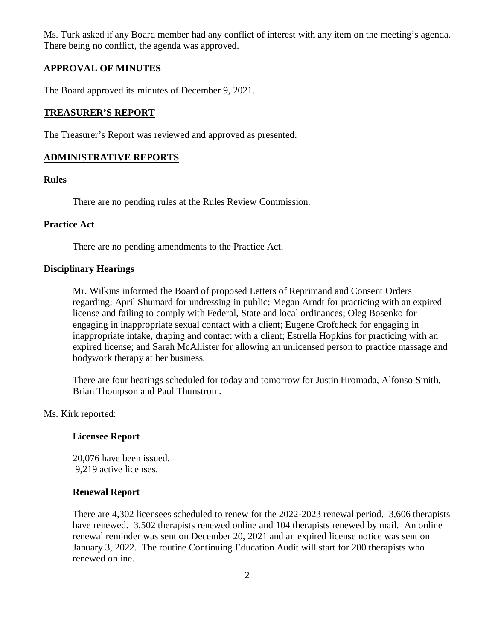Ms. Turk asked if any Board member had any conflict of interest with any item on the meeting's agenda. There being no conflict, the agenda was approved.

## **APPROVAL OF MINUTES**

The Board approved its minutes of December 9, 2021.

### **TREASURER'S REPORT**

The Treasurer's Report was reviewed and approved as presented.

## **ADMINISTRATIVE REPORTS**

#### **Rules**

There are no pending rules at the Rules Review Commission.

#### **Practice Act**

There are no pending amendments to the Practice Act.

#### **Disciplinary Hearings**

Mr. Wilkins informed the Board of proposed Letters of Reprimand and Consent Orders regarding: April Shumard for undressing in public; Megan Arndt for practicing with an expired license and failing to comply with Federal, State and local ordinances; Oleg Bosenko for engaging in inappropriate sexual contact with a client; Eugene Crofcheck for engaging in inappropriate intake, draping and contact with a client; Estrella Hopkins for practicing with an expired license; and Sarah McAllister for allowing an unlicensed person to practice massage and bodywork therapy at her business.

There are four hearings scheduled for today and tomorrow for Justin Hromada, Alfonso Smith, Brian Thompson and Paul Thunstrom.

Ms. Kirk reported:

## **Licensee Report**

20,076 have been issued. 9,219 active licenses.

#### **Renewal Report**

There are 4,302 licensees scheduled to renew for the 2022-2023 renewal period. 3,606 therapists have renewed. 3,502 therapists renewed online and 104 therapists renewed by mail. An online renewal reminder was sent on December 20, 2021 and an expired license notice was sent on January 3, 2022. The routine Continuing Education Audit will start for 200 therapists who renewed online.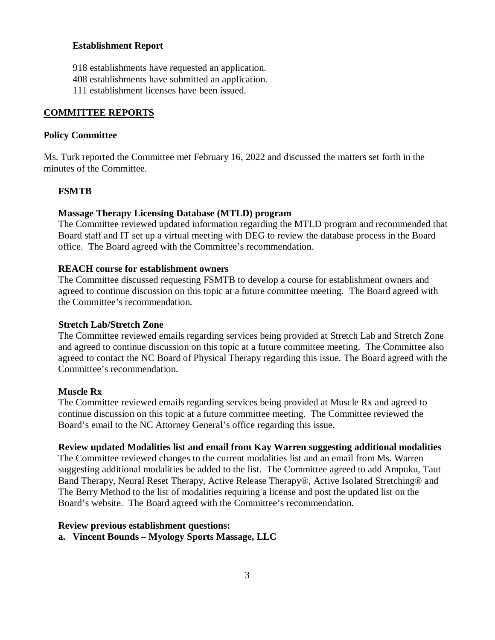#### **Establishment Report**

- 918 establishments have requested an application.
- 408 establishments have submitted an application.
- 111 establishment licenses have been issued.

### **COMMITTEE REPORTS**

#### **Policy Committee**

Ms. Turk reported the Committee met February 16, 2022 and discussed the matters set forth in the minutes of the Committee.

#### **FSMTB**

#### **Massage Therapy Licensing Database (MTLD) program**

The Committee reviewed updated information regarding the MTLD program and recommended that Board staff and IT set up a virtual meeting with DEG to review the database process in the Board office. The Board agreed with the Committee's recommendation.

#### **REACH course for establishment owners**

The Committee discussed requesting FSMTB to develop a course for establishment owners and agreed to continue discussion on this topic at a future committee meeting. The Board agreed with the Committee's recommendation.

#### **Stretch Lab/Stretch Zone**

The Committee reviewed emails regarding services being provided at Stretch Lab and Stretch Zone and agreed to continue discussion on this topic at a future committee meeting. The Committee also agreed to contact the NC Board of Physical Therapy regarding this issue. The Board agreed with the Committee's recommendation.

#### **Muscle Rx**

The Committee reviewed emails regarding services being provided at Muscle Rx and agreed to continue discussion on this topic at a future committee meeting. The Committee reviewed the Board's email to the NC Attorney General's office regarding this issue.

#### **Review updated Modalities list and email from Kay Warren suggesting additional modalities**

The Committee reviewed changes to the current modalities list and an email from Ms. Warren suggesting additional modalities be added to the list. The Committee agreed to add Ampuku, Taut Band Therapy, Neural Reset Therapy, Active Release Therapy®, Active Isolated Stretching® and The Berry Method to the list of modalities requiring a license and post the updated list on the Board's website. The Board agreed with the Committee's recommendation.

#### **Review previous establishment questions:**

**a. Vincent Bounds – Myology Sports Massage, LLC**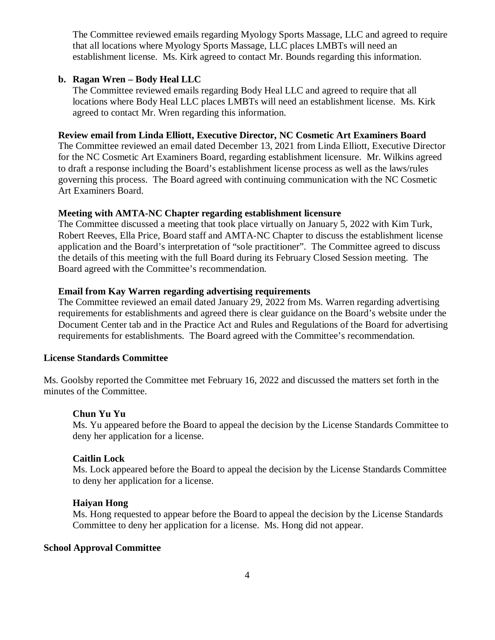The Committee reviewed emails regarding Myology Sports Massage, LLC and agreed to require that all locations where Myology Sports Massage, LLC places LMBTs will need an establishment license. Ms. Kirk agreed to contact Mr. Bounds regarding this information.

#### **b. Ragan Wren – Body Heal LLC**

The Committee reviewed emails regarding Body Heal LLC and agreed to require that all locations where Body Heal LLC places LMBTs will need an establishment license. Ms. Kirk agreed to contact Mr. Wren regarding this information.

#### **Review email from Linda Elliott, Executive Director, NC Cosmetic Art Examiners Board**

The Committee reviewed an email dated December 13, 2021 from Linda Elliott, Executive Director for the NC Cosmetic Art Examiners Board, regarding establishment licensure. Mr. Wilkins agreed to draft a response including the Board's establishment license process as well as the laws/rules governing this process. The Board agreed with continuing communication with the NC Cosmetic Art Examiners Board.

#### **Meeting with AMTA-NC Chapter regarding establishment licensure**

The Committee discussed a meeting that took place virtually on January 5, 2022 with Kim Turk, Robert Reeves, Ella Price, Board staff and AMTA-NC Chapter to discuss the establishment license application and the Board's interpretation of "sole practitioner". The Committee agreed to discuss the details of this meeting with the full Board during its February Closed Session meeting. The Board agreed with the Committee's recommendation.

### **Email from Kay Warren regarding advertising requirements**

The Committee reviewed an email dated January 29, 2022 from Ms. Warren regarding advertising requirements for establishments and agreed there is clear guidance on the Board's website under the Document Center tab and in the Practice Act and Rules and Regulations of the Board for advertising requirements for establishments. The Board agreed with the Committee's recommendation.

#### **License Standards Committee**

Ms. Goolsby reported the Committee met February 16, 2022 and discussed the matters set forth in the minutes of the Committee.

#### **Chun Yu Yu**

Ms. Yu appeared before the Board to appeal the decision by the License Standards Committee to deny her application for a license.

#### **Caitlin Lock**

Ms. Lock appeared before the Board to appeal the decision by the License Standards Committee to deny her application for a license.

#### **Haiyan Hong**

Ms. Hong requested to appear before the Board to appeal the decision by the License Standards Committee to deny her application for a license. Ms. Hong did not appear.

## **School Approval Committee**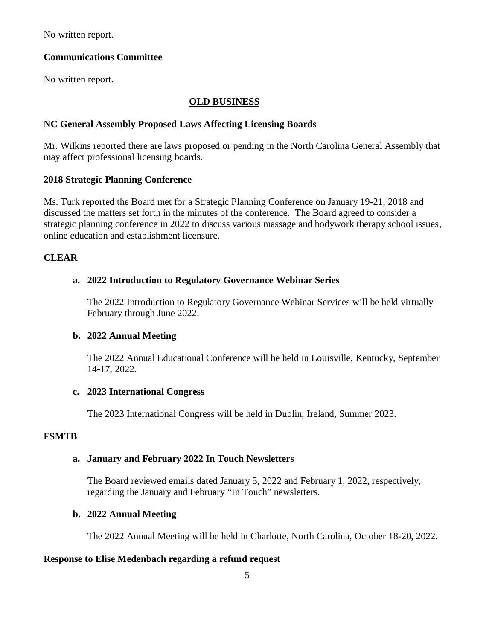No written report.

## **Communications Committee**

No written report.

## **OLD BUSINESS**

### **NC General Assembly Proposed Laws Affecting Licensing Boards**

Mr. Wilkins reported there are laws proposed or pending in the North Carolina General Assembly that may affect professional licensing boards.

#### **2018 Strategic Planning Conference**

Ms. Turk reported the Board met for a Strategic Planning Conference on January 19-21, 2018 and discussed the matters set forth in the minutes of the conference. The Board agreed to consider a strategic planning conference in 2022 to discuss various massage and bodywork therapy school issues, online education and establishment licensure.

## **CLEAR**

#### **a. 2022 Introduction to Regulatory Governance Webinar Series**

The 2022 Introduction to Regulatory Governance Webinar Services will be held virtually February through June 2022.

## **b. 2022 Annual Meeting**

The 2022 Annual Educational Conference will be held in Louisville, Kentucky, September 14-17, 2022.

## **c. 2023 International Congress**

The 2023 International Congress will be held in Dublin, Ireland, Summer 2023.

## **FSMTB**

#### **a. January and February 2022 In Touch Newsletters**

The Board reviewed emails dated January 5, 2022 and February 1, 2022, respectively, regarding the January and February "In Touch" newsletters.

#### **b. 2022 Annual Meeting**

The 2022 Annual Meeting will be held in Charlotte, North Carolina, October 18-20, 2022.

#### **Response to Elise Medenbach regarding a refund request**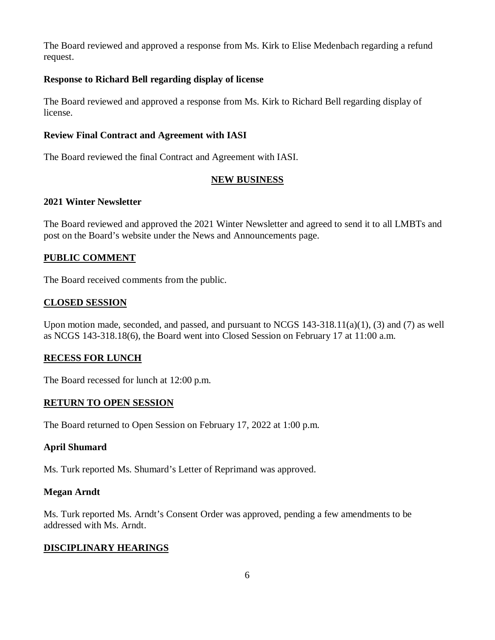The Board reviewed and approved a response from Ms. Kirk to Elise Medenbach regarding a refund request.

## **Response to Richard Bell regarding display of license**

The Board reviewed and approved a response from Ms. Kirk to Richard Bell regarding display of license.

## **Review Final Contract and Agreement with IASI**

The Board reviewed the final Contract and Agreement with IASI.

## **NEW BUSINESS**

## **2021 Winter Newsletter**

The Board reviewed and approved the 2021 Winter Newsletter and agreed to send it to all LMBTs and post on the Board's website under the News and Announcements page.

## **PUBLIC COMMENT**

The Board received comments from the public.

## **CLOSED SESSION**

Upon motion made, seconded, and passed, and pursuant to NCGS 143-318.11(a)(1), (3) and (7) as well as NCGS 143-318.18(6), the Board went into Closed Session on February 17 at 11:00 a.m.

## **RECESS FOR LUNCH**

The Board recessed for lunch at 12:00 p.m.

## **RETURN TO OPEN SESSION**

The Board returned to Open Session on February 17, 2022 at 1:00 p.m.

## **April Shumard**

Ms. Turk reported Ms. Shumard's Letter of Reprimand was approved.

## **Megan Arndt**

Ms. Turk reported Ms. Arndt's Consent Order was approved, pending a few amendments to be addressed with Ms. Arndt.

## **DISCIPLINARY HEARINGS**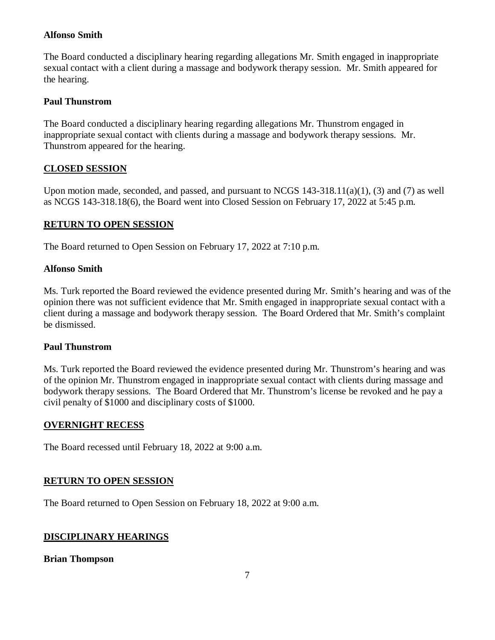## **Alfonso Smith**

The Board conducted a disciplinary hearing regarding allegations Mr. Smith engaged in inappropriate sexual contact with a client during a massage and bodywork therapy session. Mr. Smith appeared for the hearing.

## **Paul Thunstrom**

The Board conducted a disciplinary hearing regarding allegations Mr. Thunstrom engaged in inappropriate sexual contact with clients during a massage and bodywork therapy sessions. Mr. Thunstrom appeared for the hearing.

## **CLOSED SESSION**

Upon motion made, seconded, and passed, and pursuant to NCGS 143-318.11(a)(1), (3) and (7) as well as NCGS 143-318.18(6), the Board went into Closed Session on February 17, 2022 at 5:45 p.m.

## **RETURN TO OPEN SESSION**

The Board returned to Open Session on February 17, 2022 at 7:10 p.m.

## **Alfonso Smith**

Ms. Turk reported the Board reviewed the evidence presented during Mr. Smith's hearing and was of the opinion there was not sufficient evidence that Mr. Smith engaged in inappropriate sexual contact with a client during a massage and bodywork therapy session. The Board Ordered that Mr. Smith's complaint be dismissed.

## **Paul Thunstrom**

Ms. Turk reported the Board reviewed the evidence presented during Mr. Thunstrom's hearing and was of the opinion Mr. Thunstrom engaged in inappropriate sexual contact with clients during massage and bodywork therapy sessions. The Board Ordered that Mr. Thunstrom's license be revoked and he pay a civil penalty of \$1000 and disciplinary costs of \$1000.

## **OVERNIGHT RECESS**

The Board recessed until February 18, 2022 at 9:00 a.m.

## **RETURN TO OPEN SESSION**

The Board returned to Open Session on February 18, 2022 at 9:00 a.m.

## **DISCIPLINARY HEARINGS**

## **Brian Thompson**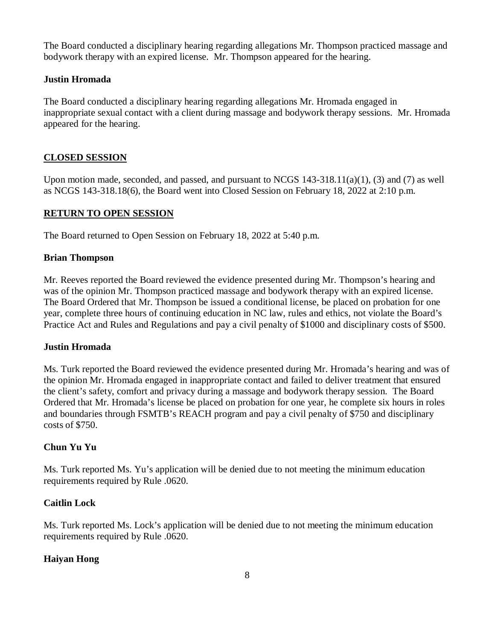The Board conducted a disciplinary hearing regarding allegations Mr. Thompson practiced massage and bodywork therapy with an expired license. Mr. Thompson appeared for the hearing.

## **Justin Hromada**

The Board conducted a disciplinary hearing regarding allegations Mr. Hromada engaged in inappropriate sexual contact with a client during massage and bodywork therapy sessions. Mr. Hromada appeared for the hearing.

## **CLOSED SESSION**

Upon motion made, seconded, and passed, and pursuant to NCGS  $143-318.11(a)(1)$ , (3) and (7) as well as NCGS 143-318.18(6), the Board went into Closed Session on February 18, 2022 at 2:10 p.m.

## **RETURN TO OPEN SESSION**

The Board returned to Open Session on February 18, 2022 at 5:40 p.m.

## **Brian Thompson**

Mr. Reeves reported the Board reviewed the evidence presented during Mr. Thompson's hearing and was of the opinion Mr. Thompson practiced massage and bodywork therapy with an expired license. The Board Ordered that Mr. Thompson be issued a conditional license, be placed on probation for one year, complete three hours of continuing education in NC law, rules and ethics, not violate the Board's Practice Act and Rules and Regulations and pay a civil penalty of \$1000 and disciplinary costs of \$500.

## **Justin Hromada**

Ms. Turk reported the Board reviewed the evidence presented during Mr. Hromada's hearing and was of the opinion Mr. Hromada engaged in inappropriate contact and failed to deliver treatment that ensured the client's safety, comfort and privacy during a massage and bodywork therapy session. The Board Ordered that Mr. Hromada's license be placed on probation for one year, he complete six hours in roles and boundaries through FSMTB's REACH program and pay a civil penalty of \$750 and disciplinary costs of \$750.

## **Chun Yu Yu**

Ms. Turk reported Ms. Yu's application will be denied due to not meeting the minimum education requirements required by Rule .0620.

## **Caitlin Lock**

Ms. Turk reported Ms. Lock's application will be denied due to not meeting the minimum education requirements required by Rule .0620.

## **Haiyan Hong**